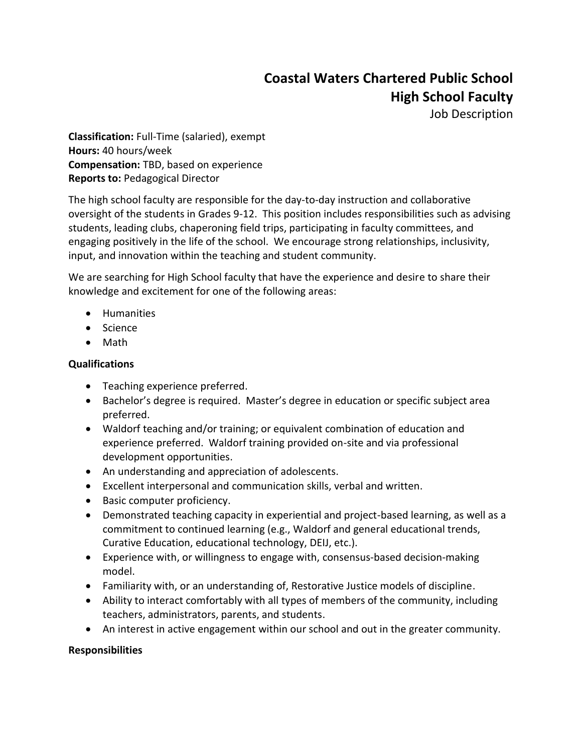## **Coastal Waters Chartered Public School High School Faculty**

Job Description

**Classification:** Full-Time (salaried), exempt **Hours:** 40 hours/week **Compensation:** TBD, based on experience **Reports to:** Pedagogical Director

The high school faculty are responsible for the day-to-day instruction and collaborative oversight of the students in Grades 9-12. This position includes responsibilities such as advising students, leading clubs, chaperoning field trips, participating in faculty committees, and engaging positively in the life of the school. We encourage strong relationships, inclusivity, input, and innovation within the teaching and student community.

We are searching for High School faculty that have the experience and desire to share their knowledge and excitement for one of the following areas:

- Humanities
- Science
- Math

## **Qualifications**

- Teaching experience preferred.
- Bachelor's degree is required. Master's degree in education or specific subject area preferred.
- Waldorf teaching and/or training; or equivalent combination of education and experience preferred. Waldorf training provided on-site and via professional development opportunities.
- An understanding and appreciation of adolescents.
- Excellent interpersonal and communication skills, verbal and written.
- Basic computer proficiency.
- Demonstrated teaching capacity in experiential and project-based learning, as well as a commitment to continued learning (e.g., Waldorf and general educational trends, Curative Education, educational technology, DEIJ, etc.).
- Experience with, or willingness to engage with, consensus-based decision-making model.
- Familiarity with, or an understanding of, Restorative Justice models of discipline.
- Ability to interact comfortably with all types of members of the community, including teachers, administrators, parents, and students.
- An interest in active engagement within our school and out in the greater community.

## **Responsibilities**